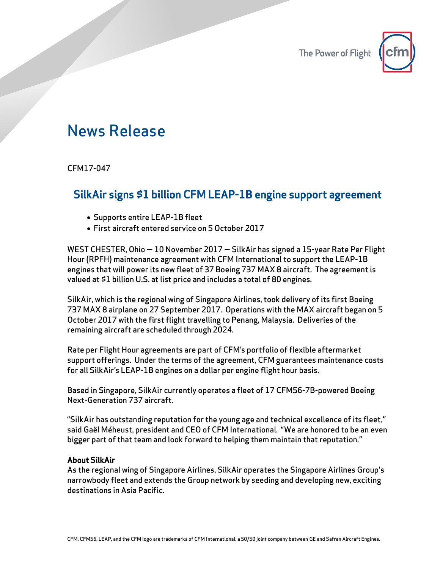

## News Release

CFM17-047

## SilkAir signs \$1 billion CFM LEAP-1B engine support agreement

- Supports entire LEAP-1B fleet
- First aircraft entered service on 5 October 2017

WEST CHESTER, Ohio — 10 November 2017 — SilkAir has signed a 15-year Rate Per Flight Hour (RPFH) maintenance agreement with CFM International to support the LEAP-1B engines that will power its new fleet of 37 Boeing 737 MAX 8 aircraft. The agreement is valued at \$1 billion U.S. at list price and includes a total of 80 engines.

SilkAir, which is the regional wing of Singapore Airlines, took delivery of its first Boeing 737 MAX 8 airplane on 27 September 2017. Operations with the MAX aircraft began on 5 October 2017 with the first flight travelling to Penang, Malaysia. Deliveries of the remaining aircraft are scheduled through 2024.

Rate per Flight Hour agreements are part of CFM's portfolio of flexible aftermarket support offerings. Under the terms of the agreement, CFM guarantees maintenance costs for all SilkAir's LEAP-1B engines on a dollar per engine flight hour basis.

Based in Singapore, SilkAir currently operates a fleet of 17 CFM56-7B-powered Boeing Next-Generation 737 aircraft.

"SilkAir has outstanding reputation for the young age and technical excellence of its fleet," said Gaël Méheust, president and CEO of CFM International. "We are honored to be an even bigger part of that team and look forward to helping them maintain that reputation."

## About SilkAir

As the regional wing of Singapore Airlines, SilkAir operates the Singapore Airlines Group's narrowbody fleet and extends the Group network by seeding and developing new, exciting destinations in Asia Pacific.